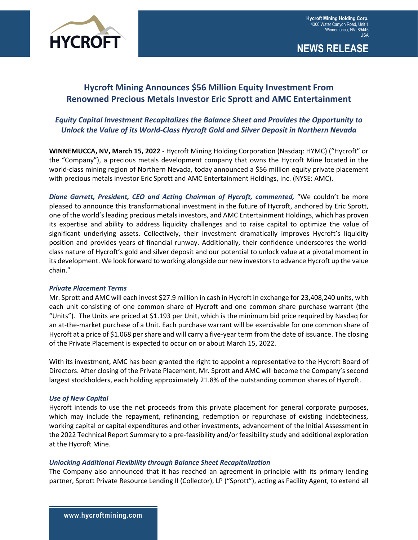

**NEWS RELEASE**

# **Hycroft Mining Announces \$56 Million Equity Investment From Renowned Precious Metals Investor Eric Sprott and AMC Entertainment**

# *Equity Capital Investment Recapitalizes the Balance Sheet and Provides the Opportunity to Unlock the Value of its World-Class Hycroft Gold and Silver Deposit in Northern Nevada*

**WINNEMUCCA, NV, March 15, 2022** - Hycroft Mining Holding Corporation (Nasdaq: HYMC) ("Hycroft" or the "Company"), a precious metals development company that owns the Hycroft Mine located in the world-class mining region of Northern Nevada, today announced a \$56 million equity private placement with precious metals investor Eric Sprott and AMC Entertainment Holdings, Inc. (NYSE: AMC).

*Diane Garrett, President, CEO and Acting Chairman of Hycroft, commented,* "We couldn't be more pleased to announce this transformational investment in the future of Hycroft, anchored by Eric Sprott, one of the world's leading precious metals investors, and AMC Entertainment Holdings, which has proven its expertise and ability to address liquidity challenges and to raise capital to optimize the value of significant underlying assets. Collectively, their investment dramatically improves Hycroft's liquidity position and provides years of financial runway. Additionally, their confidence underscores the worldclass nature of Hycroft's gold and silver deposit and our potential to unlock value at a pivotal moment in its development. We look forward to working alongside our new investors to advance Hycroft up the value chain."

## *Private Placement Terms*

Mr. Sprott and AMC will each invest \$27.9 million in cash in Hycroft in exchange for 23,408,240 units, with each unit consisting of one common share of Hycroft and one common share purchase warrant (the "Units"). The Units are priced at \$1.193 per Unit, which is the minimum bid price required by Nasdaq for an at-the-market purchase of a Unit. Each purchase warrant will be exercisable for one common share of Hycroft at a price of \$1.068 per share and will carry a five-year term from the date of issuance. The closing of the Private Placement is expected to occur on or about March 15, 2022.

With its investment, AMC has been granted the right to appoint a representative to the Hycroft Board of Directors. After closing of the Private Placement, Mr. Sprott and AMC will become the Company's second largest stockholders, each holding approximately 21.8% of the outstanding common shares of Hycroft.

#### *Use of New Capital*

Hycroft intends to use the net proceeds from this private placement for general corporate purposes, which may include the repayment, refinancing, redemption or repurchase of existing indebtedness, working capital or capital expenditures and other investments, advancement of the Initial Assessment in the 2022 Technical Report Summary to a pre-feasibility and/or feasibility study and additional exploration at the Hycroft Mine.

#### *Unlocking Additional Flexibility through Balance Sheet Recapitalization*

The Company also announced that it has reached an agreement in principle with its primary lending partner, Sprott Private Resource Lending II (Collector), LP ("Sprott"), acting as Facility Agent, to extend all